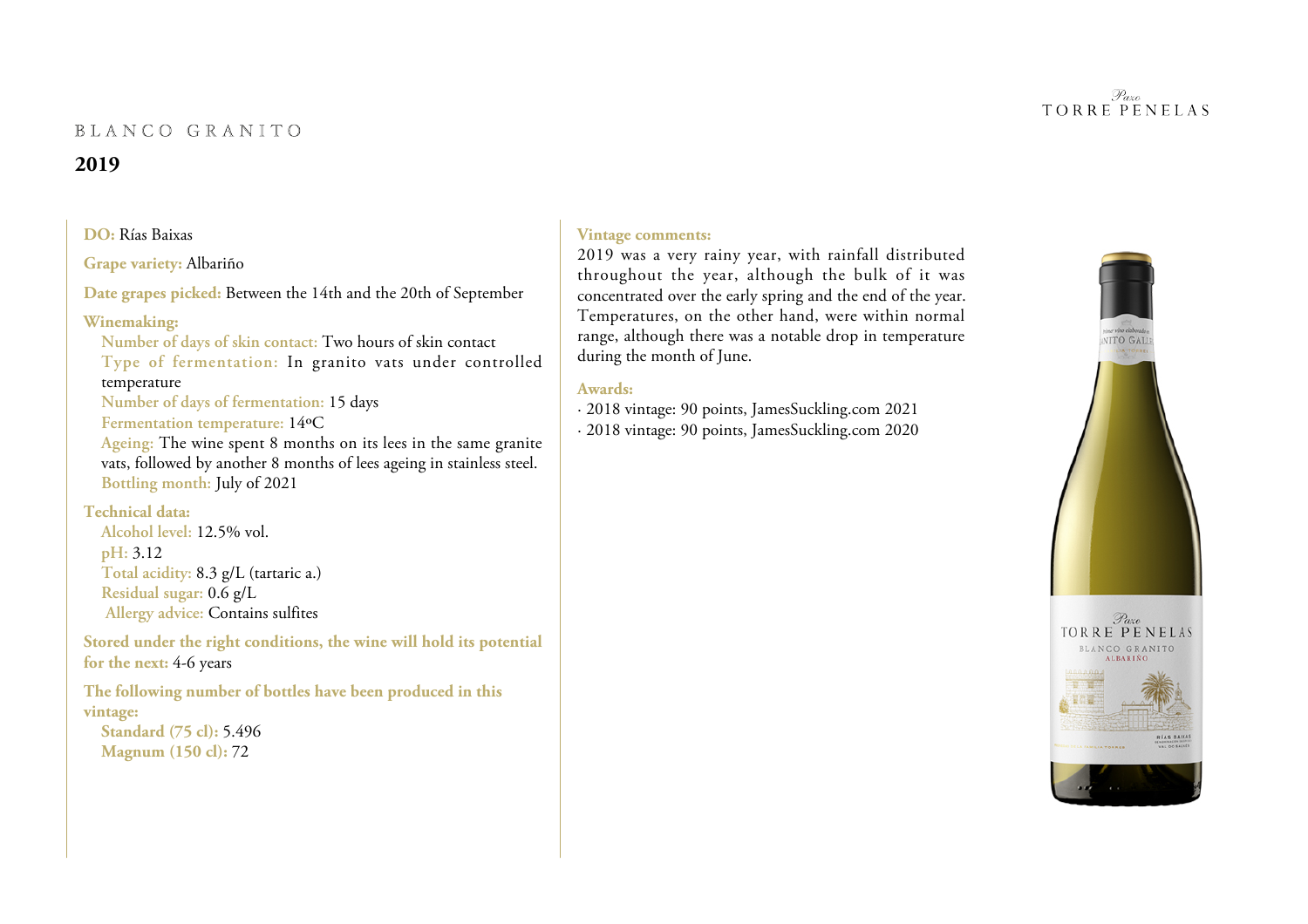# BLANCO GRANITO

# **2019**

#### **DO:** Rías Baixas

**Grape variety:** Albariño

**Date grapes picked:** Between the 14th and the 20th of September

### **Winemaking:**

**Number of days of skin contact:** Two hours of skin contact **Type of fermentation:** In granito vats under controlledtemperature

**Number of days of fermentation:** 15 days

**Fermentation temperature:** 14ºC

 **Ageing:** The wine spent 8 months on its lees in the same granite vats, followed by another 8 months of lees ageing in stainless steel. **Bottling month:** July of 2021

### **Technical data:**

 **Alcohol level:** 12.5% vol.**pH:** 3.12 **Total acidity:** 8.3 g/L (tartaric a.)**Residual sugar:** 0.6 g/L**Allergy advice:** Contains sulfites

**Stored under the right conditions, the wine will hold its potentialfor the next:** 4-6 years

**The following number of bottles have been produced in thisvintage:**

**Standard (75 cl):** 5.496**Magnum (150 cl):** 72

# **Vintage comments:**

2019 was a very rainy year, with rainfall distributed throughout the year, although the bulk of it was concentrated over the early spring and the end of the year. Temperatures, on the other hand, were within normal range, although there was a notable drop in temperatureduring the month of June.

### **Awards:**

- · 2018 vintage: 90 points, JamesSuckling.com 2021
- · 2018 vintage: 90 points, JamesSuckling.com 2020



#### Pazo **TORRE PENELAS**